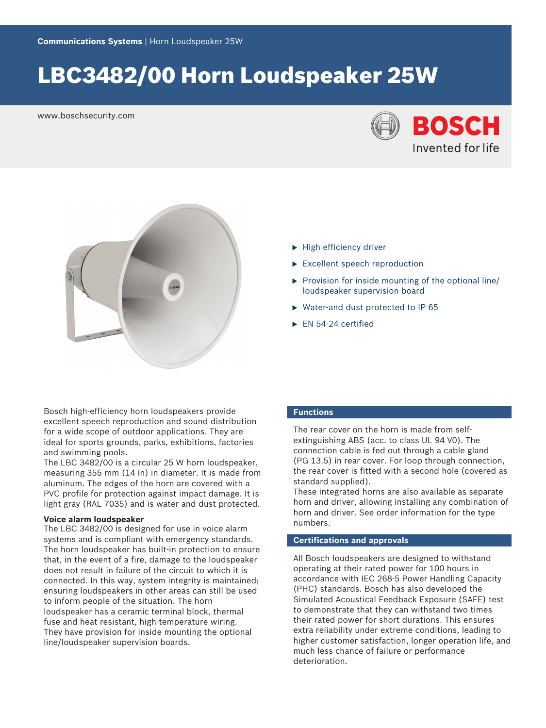# LBC3482/00 Horn Loudspeaker 25W

www.boschsecurity.com





Bosch high-efficiency horn loudspeakers provide excellent speech reproduction and sound distribution for a wide scope of outdoor applications. They are ideal for sports grounds, parks, exhibitions, factories and swimming pools.

The LBC 3482/00 is a circular 25 W horn loudspeaker, measuring 355 mm (14 in) in diameter. It is made from aluminum. The edges of the horn are covered with a PVC profile for protection against impact damage. It is light gray (RAL 7035) and is water and dust protected.

#### **Voice alarm loudspeaker**

The LBC 3482/00 is designed for use in voice alarm systems and is compliant with emergency standards. The horn loudspeaker has built-in protection to ensure that, in the event of a fire, damage to the loudspeaker does not result in failure of the circuit to which it is connected. In this way, system integrity is maintained; ensuring loudspeakers in other areas can still be used to inform people of the situation. The horn loudspeaker has a ceramic terminal block, thermal fuse and heat resistant, high-temperature wiring. They have provision for inside mounting the optional line/loudspeaker supervision boards.

### $\blacktriangleright$  High efficiency driver

- $\blacktriangleright$  Excellent speech reproduction
- $\triangleright$  Provision for inside mounting of the optional line/ loudspeaker supervision board
- $\triangleright$  Water-and dust protected to IP 65
- $\blacktriangleright$  EN 54-24 certified

# **Functions**

The rear cover on the horn is made from selfextinguishing ABS (acc. to class UL 94 V0). The connection cable is fed out through a cable gland (PG 13.5) in rear cover. For loop through connection, the rear cover is fitted with a second hole (covered as standard supplied).

These integrated horns are also available as separate horn and driver, allowing installing any combination of horn and driver. See order information for the type numbers.

# **Certifications and approvals**

All Bosch loudspeakers are designed to withstand operating at their rated power for 100 hours in accordance with IEC 268-5 Power Handling Capacity (PHC) standards. Bosch has also developed the Simulated Acoustical Feedback Exposure (SAFE) test to demonstrate that they can withstand two times their rated power for short durations. This ensures extra reliability under extreme conditions, leading to higher customer satisfaction, longer operation life, and much less chance of failure or performance deterioration.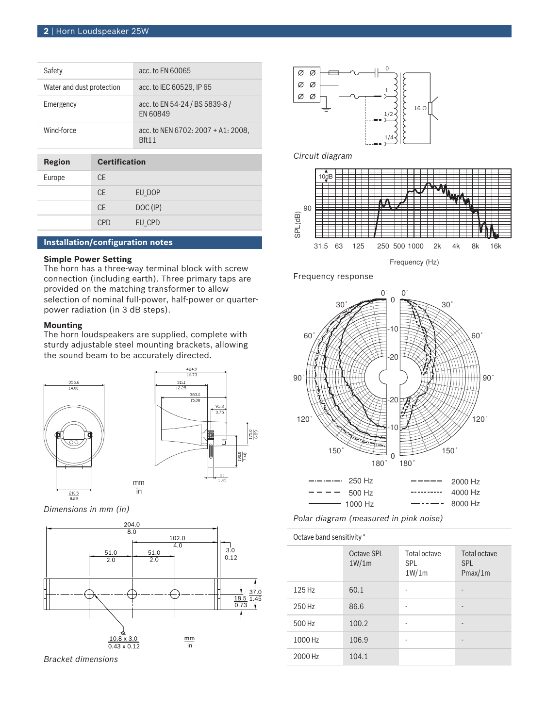| Safety                    |                      | acc. to FN 60065                                      |
|---------------------------|----------------------|-------------------------------------------------------|
| Water and dust protection |                      | acc. to IEC 60529. IP 65                              |
| Emergency                 |                      | acc. to EN 54-24 / BS 5839-8 /<br>EN 60849            |
| Wind-force                |                      | acc. to NEN 6702: $2007 + A1: 2008$ ,<br><b>Rft11</b> |
|                           |                      |                                                       |
| Region                    | <b>Certification</b> |                                                       |
| Europo                    | ∩⊏                   |                                                       |

| Europe | СE         |          |
|--------|------------|----------|
|        | <b>CE</b>  | EU_DOP   |
|        | <b>CE</b>  | DOC (IP) |
|        | <b>CPD</b> | EU_CPD   |

# **Installation/configuration notes**

# **Simple Power Setting**

The horn has a three-way terminal block with screw connection (including earth). Three primary taps are provided on the matching transformer to allow selection of nominal full-power, half-power or quarterpower radiation (in 3 dB steps).

# **Mounting**

The horn loudspeakers are supplied, complete with sturdy adjustable steel mounting brackets, allowing the sound beam to be accurately directed.





*Dimensions in mm (in)*



in

*Bracket dimensions*



# *Circuit diagram*



Frequency response



*Polar diagram (measured in pink noise)*

| Octave band sensitivity* |                     |                                     |                                       |
|--------------------------|---------------------|-------------------------------------|---------------------------------------|
|                          | Octave SPL<br>1W/1m | Total octave<br><b>SPL</b><br>1W/1m | Total octave<br><b>SPL</b><br>Pmax/1m |
| 125 Hz                   | 60.1                |                                     | $\overline{\phantom{m}}$              |
| 250 Hz                   | 86.6                |                                     | $\qquad \qquad \blacksquare$          |
| 500 Hz                   | 100.2               |                                     | $\overline{\phantom{m}}$              |
| 1000 Hz                  | 106.9               |                                     | $\overline{\phantom{m}}$              |
| 2000 Hz                  | 104.1               |                                     |                                       |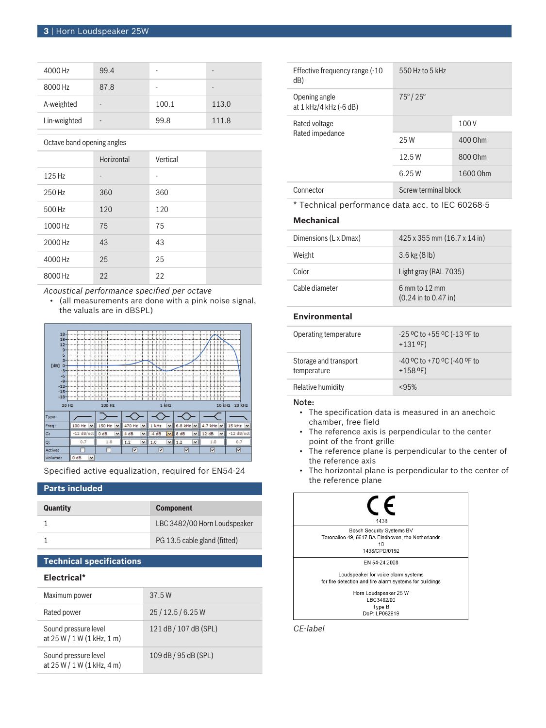| 4000 Hz      | 99.4                     | ٠                        |       |
|--------------|--------------------------|--------------------------|-------|
| 8000 Hz      | 87.8                     | $\overline{\phantom{a}}$ | -     |
| A-weighted   | $\overline{\phantom{0}}$ | 100.1                    | 113.0 |
| Lin-weighted | $\overline{\phantom{0}}$ | 99.8                     | 111.8 |

Octave band opening angles

|         | Horizontal     | Vertical |  |
|---------|----------------|----------|--|
| 125 Hz  | $\overline{a}$ | ٠        |  |
| 250 Hz  | 360            | 360      |  |
| 500 Hz  | 120            | 120      |  |
| 1000 Hz | 75             | 75       |  |
| 2000 Hz | 43             | 43       |  |
| 4000 Hz | 25             | 25       |  |
| 8000 Hz | 22             | 22       |  |

*Acoustical performance specified per octave*

• (all measurements are done with a pink noise signal, the valuals are in dBSPL)



Specified active equalization, required for EN54‑24

# **Parts included**

| <b>Quantity</b> | <b>Component</b>             |
|-----------------|------------------------------|
|                 | LBC 3482/00 Horn Loudspeaker |
|                 | PG 13.5 cable gland (fitted) |

# **Technical specifications**

### **Electrical\***

| Maximum power                                        | 37.5 W                |
|------------------------------------------------------|-----------------------|
| Rated power                                          | 25/12.5/6.25W         |
| Sound pressure level<br>at $25 W / 1 W (1 kHz, 1 m)$ | 121 dB / 107 dB (SPL) |
| Sound pressure level<br>at $25 W / 1 W (1 kHz, 4 m)$ | 109 dB / 95 dB (SPL)  |

| Effective frequency range (-10<br>dB)   | 550 Hz to 5 kHz         |          |
|-----------------------------------------|-------------------------|----------|
| Opening angle<br>at 1 kHz/4 kHz (-6 dB) | $75^{\circ}/25^{\circ}$ |          |
| Rated voltage<br>Rated impedance        |                         | 100V     |
|                                         | 25 W                    | 400 Ohm  |
|                                         | 12.5W                   | 800 Ohm  |
|                                         | 6.25W                   | 1600 Ohm |
| Connector                               | Screw terminal block    |          |

\* Technical performance data acc. to IEC 60268-5

# **Mechanical**

| Dimensions (L x Dmax) | $425 \times 355$ mm $(16.7 \times 14)$ in     |
|-----------------------|-----------------------------------------------|
| Weight                | $3.6$ kg $(8 \, lb)$                          |
| Color                 | Light gray (RAL 7035)                         |
| Cable diameter        | $6$ mm to $12$ mm<br>$(0.24$ in to $0.47$ in) |

# **Environmental**

| Operating temperature                | $-25$ °C to +55 °C ( $-13$ °F to<br>$+131$ <sup>o</sup> F) |
|--------------------------------------|------------------------------------------------------------|
| Storage and transport<br>temperature | -40 °C to +70 °C (-40 °F to<br>$+158$ °F)                  |
| Relative humidity                    | <95%                                                       |

#### Note:

- The specification data is measured in an anechoic chamber, free field
- The reference axis is perpendicular to the center point of the front grille
- The reference plane is perpendicular to the center of the reference axis
- The horizontal plane is perpendicular to the center of the reference plane



*CE-label*